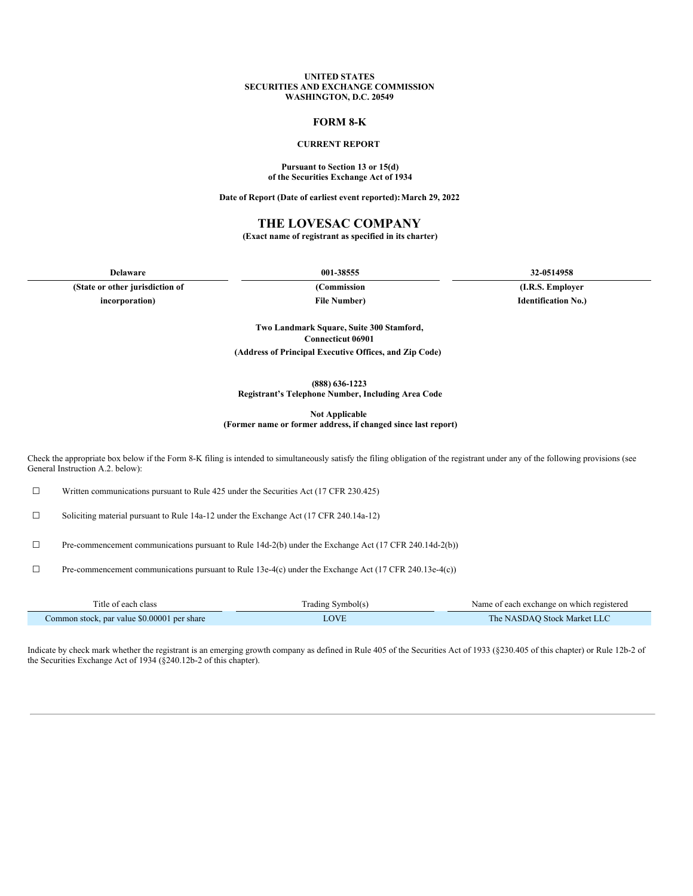#### **UNITED STATES SECURITIES AND EXCHANGE COMMISSION WASHINGTON, D.C. 20549**

### **FORM 8-K**

### **CURRENT REPORT**

#### **Pursuant to Section 13 or 15(d) of the Securities Exchange Act of 1934**

**Date of Report (Date of earliest event reported):March 29, 2022**

### **THE LOVESAC COMPANY**

**(Exact name of registrant as specified in its charter)**

**(State or other jurisdiction of (Commission (I.R.S. Employer incorporation) File Number) Identification No.)**

**Delaware 001-38555 32-0514958**

**Two Landmark Square, Suite 300 Stamford, Connecticut 06901 (Address of Principal Executive Offices, and Zip Code)**

**(888) 636-1223**

**Registrant's Telephone Number, Including Area Code**

**Not Applicable**

**(Former name or former address, if changed since last report)**

Check the appropriate box below if the Form 8-K filing is intended to simultaneously satisfy the filing obligation of the registrant under any of the following provisions (see General Instruction A.2. below):

☐ Written communications pursuant to Rule 425 under the Securities Act (17 CFR 230.425)

☐ Soliciting material pursuant to Rule 14a-12 under the Exchange Act (17 CFR 240.14a-12)

☐ Pre-commencement communications pursuant to Rule 14d-2(b) under the Exchange Act (17 CFR 240.14d-2(b))

☐ Pre-commencement communications pursuant to Rule 13e-4(c) under the Exchange Act (17 CFR 240.13e-4(c))

| l'itle of each class                        | frading Symbol(s) | Name of each exchange on which registered |
|---------------------------------------------|-------------------|-------------------------------------------|
| Common stock, par value \$0,00001 per share |                   | The NASDAO Stock Market LLC               |

Indicate by check mark whether the registrant is an emerging growth company as defined in Rule 405 of the Securities Act of 1933 (§230.405 of this chapter) or Rule 12b-2 of the Securities Exchange Act of 1934 (§240.12b-2 of this chapter).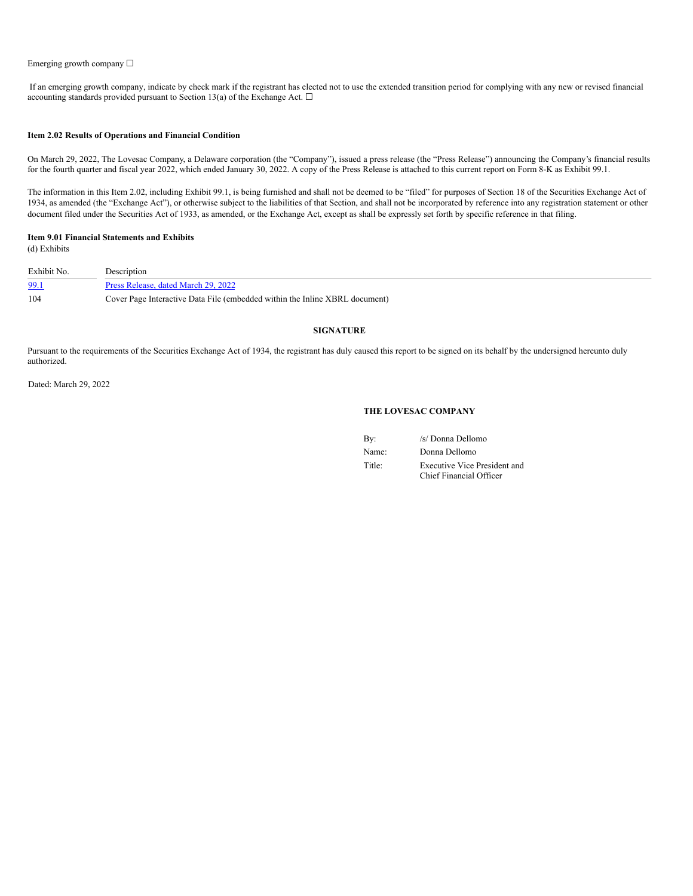#### Emerging growth company ☐

If an emerging growth company, indicate by check mark if the registrant has elected not to use the extended transition period for complying with any new or revised financial accounting standards provided pursuant to Section 13(a) of the Exchange Act.  $\square$ 

#### **Item 2.02 Results of Operations and Financial Condition**

On March 29, 2022, The Lovesac Company, a Delaware corporation (the "Company"), issued a press release (the "Press Release") announcing the Company's financial results for the fourth quarter and fiscal year 2022, which ended January 30, 2022. A copy of the Press Release is attached to this current report on Form 8-K as Exhibit 99.1.

The information in this Item 2.02, including Exhibit 99.1, is being furnished and shall not be deemed to be "filed" for purposes of Section 18 of the Securities Exchange Act of 1934, as amended (the "Exchange Act"), or otherwise subject to the liabilities of that Section, and shall not be incorporated by reference into any registration statement or other document filed under the Securities Act of 1933, as amended, or the Exchange Act, except as shall be expressly set forth by specific reference in that filing.

#### **Item 9.01 Financial Statements and Exhibits** (d) Exhibits

| Exhibit No. | <b>Description</b>                                                          |
|-------------|-----------------------------------------------------------------------------|
| 99.1        | Press Release, dated March 29, 2022                                         |
| 104         | Cover Page Interactive Data File (embedded within the Inline XBRL document) |

#### **SIGNATURE**

Pursuant to the requirements of the Securities Exchange Act of 1934, the registrant has duly caused this report to be signed on its behalf by the undersigned hereunto duly authorized.

Dated: March 29, 2022

### **THE LOVESAC COMPANY**

| By:    | /s/ Donna Dellomo                                              |
|--------|----------------------------------------------------------------|
| Name:  | Donna Dellomo                                                  |
| Title: | <b>Executive Vice President and</b><br>Chief Financial Officer |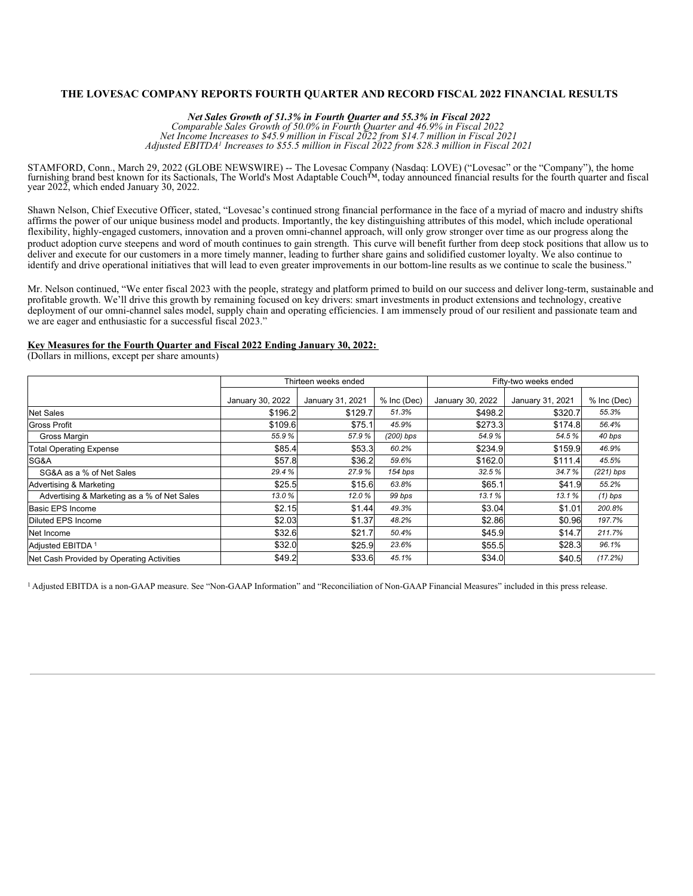## **THE LOVESAC COMPANY REPORTS FOURTH QUARTER AND RECORD FISCAL 2022 FINANCIAL RESULTS**

*Net Sales Growth of 51.3% in Fourth Quarter and 55.3% in Fiscal 2022 Comparable Sales Growth of 50.0% in Fourth Quarter and 46.9% in Fiscal 2022 Net Income Increases to \$45.9 million in Fiscal 2022 from \$14.7 million in Fiscal 2021 Adjusted EBITDA Increases to \$55.5 million in Fiscal 2022 from \$28.3 million in Fiscal 2021 1*

STAMFORD, Conn., March 29, 2022 (GLOBE NEWSWIRE) -- The Lovesac Company (Nasdaq: LOVE) ("Lovesac" or the "Company"), the home furnishing brand best known for its Sactionals, The World's Most Adaptable Couch™, today announced financial results for the fourth quarter and fiscal year 2022, which ended January 30, 2022.

Shawn Nelson, Chief Executive Officer, stated, "Lovesac's continued strong financial performance in the face of a myriad of macro and industry shifts affirms the power of our unique business model and products. Importantly, the key distinguishing attributes of this model, which include operational flexibility, highly-engaged customers, innovation and a proven omni-channel approach, will only grow stronger over time as our progress along the product adoption curve steepens and word of mouth continues to gain strength. This curve will benefit further from deep stock positions that allow us to deliver and execute for our customers in a more timely manner, leading to further share gains and solidified customer loyalty. We also continue to identify and drive operational initiatives that will lead to even greater improvements in our bottom-line results as we continue to scale the business."

Mr. Nelson continued, "We enter fiscal 2023 with the people, strategy and platform primed to build on our success and deliver long-term, sustainable and profitable growth. We'll drive this growth by remaining focused on key drivers: smart investments in product extensions and technology, creative deployment of our omni-channel sales model, supply chain and operating efficiencies. I am immensely proud of our resilient and passionate team and we are eager and enthusiastic for a successful fiscal 2023."

### **Key Measures for the Fourth Quarter and Fiscal 2022 Ending January 30, 2022:**

(Dollars in millions, except per share amounts)

|                                             |                  | Thirteen weeks ended |             | Fifty-two weeks ended |                  |             |  |  |
|---------------------------------------------|------------------|----------------------|-------------|-----------------------|------------------|-------------|--|--|
|                                             | January 30, 2022 | January 31, 2021     | % Inc (Dec) | January 30, 2022      | January 31, 2021 | % Inc (Dec) |  |  |
| <b>Net Sales</b>                            | \$196.2          | \$129.7              | 51.3%       | \$498.2               | \$320.7          | 55.3%       |  |  |
| <b>Gross Profit</b>                         | \$109.6          | \$75.1               | 45.9%       | \$273.3               | \$174.8          | 56.4%       |  |  |
| Gross Margin                                | 55.9%            | 57.9%                | $(200)$ bps | 54.9%                 | 54.5%            | 40 bps      |  |  |
| <b>Total Operating Expense</b>              | \$85.4           | \$53.3               | 60.2%       | \$234.9               | \$159.9          | 46.9%       |  |  |
| SG&A                                        | \$57.8           | \$36.2               | 59.6%       | \$162.0               | \$111.4          | 45.5%       |  |  |
| SG&A as a % of Net Sales                    | 29.4%            | 27.9%                | 154 bps     | 32.5%                 | 34.7%            | $(221)$ bps |  |  |
| Advertising & Marketing                     | \$25.5           | \$15.6               | 63.8%       | \$65.1                | \$41.9           | 55.2%       |  |  |
| Advertising & Marketing as a % of Net Sales | 13.0%            | 12.0%                | 99 bps      | 13.1%                 | 13.1%            | $(1)$ bps   |  |  |
| Basic EPS Income                            | \$2.15           | \$1.44               | 49.3%       | \$3.04                | \$1.01           | 200.8%      |  |  |
| Diluted EPS Income                          | \$2.03           | \$1.37               | 48.2%       | \$2.86                | \$0.96           | 197.7%      |  |  |
| Net Income                                  | \$32.6           | \$21.7               | 50.4%       | \$45.9                | \$14.7           | 211.7%      |  |  |
| Adjusted EBITDA <sup>1</sup>                | \$32.0           | \$25.9               | 23.6%       | \$55.5                | \$28.3           | 96.1%       |  |  |
| Net Cash Provided by Operating Activities   | \$49.2           | \$33.6               | 45.1%       | \$34.0                | \$40.5           | (17.2%)     |  |  |

<sup>1</sup> Adjusted EBITDA is a non-GAAP measure. See "Non-GAAP Information" and "Reconciliation of Non-GAAP Financial Measures" included in this press release.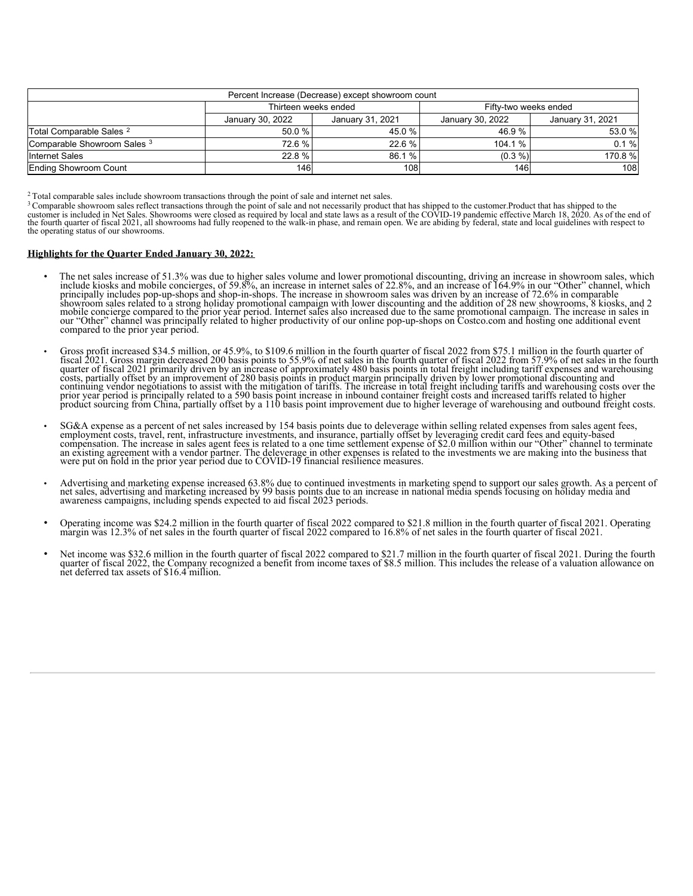| Percent Increase (Decrease) except showroom count |                  |                                                          |            |          |  |  |  |  |  |  |
|---------------------------------------------------|------------------|----------------------------------------------------------|------------|----------|--|--|--|--|--|--|
| Thirteen weeks ended<br>Fifty-two weeks ended     |                  |                                                          |            |          |  |  |  |  |  |  |
|                                                   | January 30, 2022 | January 31, 2021<br>January 31, 2021<br>January 30, 2022 |            |          |  |  |  |  |  |  |
| Total Comparable Sales <sup>2</sup>               | 50.0%            | 45.0 %                                                   | 46.9%      | 53.0 %   |  |  |  |  |  |  |
| Comparable Showroom Sales 3                       | 72.6 %           | 22.6%                                                    | 104.1%     | $0.1 \%$ |  |  |  |  |  |  |
| <b>Internet Sales</b>                             | 22.8%            | 86.1 %                                                   | $(0.3\% )$ | 170.8 %  |  |  |  |  |  |  |
| Ending Showroom Count                             | 146              | 108                                                      | 146        | 108      |  |  |  |  |  |  |

 $2$  Total comparable sales include showroom transactions through the point of sale and internet net sales.

<sup>3</sup> Comparable showroom sales reflect transactions through the point of sale and not necessarily product that has shipped to the customer.Product that has shipped to the customer is included in Net Sales. Showrooms were cl the fourth quarter of fiscal 2021, all showrooms had fully reopened to the walk-in phase, and remain open. We are abiding by federal, state and local guidelines with respect to the operating status of our showrooms. 3

#### **Highlights for the Quarter Ended January 30, 2022:**

- The net sales increase of 51.3% was due to higher sales volume and lower promotional discounting, driving an increase in showroom sales, which include kiosks and mobile concierges, of 59.8%, an increase in internet sales showroom sales related to a strong holiday promotional campaign with lower discounting and the addition of 28 new showrooms, 8 kiosks, and 2 mobile concierge compared to the prior year period. Internet sales also increased compared to the prior year period.
- Gross profit increased \$34.5 million, or 45.9%, to \$109.6 million in the fourth quarter of fiscal 2022 from \$75.1 million in the fourth quarter of fiscal 2021. Gross margin decreased 200 basis points to 55.9% of net sales quarter of fiscal 2021 primarily driven by an increase of approximately 480 basis points in total freight including tariff expenses and warehousing<br>costs, partially offset by an improvement of 280 basis points in product m
- SG&A expense as a percent of net sales increased by 154 basis points due to deleverage within selling related expenses from sales agent fees, employment costs, travel, rent, infrastructure investments, and insurance, par an existing agreement with a vendor partner. The deleverage in other expenses is related to the investments we are making into the business that were put on hold in the prior year period due to COVID-19 financial resilienc
- Advertising and marketing expense increased 63.8% due to continued investments in marketing spend to support our sales growth. As a percent of net sales, advertising and marketing increased by 99 basis points due to an increase in national media spends focusing on holiday media and awareness campaigns, including spends expected to aid fiscal 2023 periods.
- Operating income was \$24.2 million in the fourth quarter of fiscal 2022 compared to \$21.8 million in the fourth quarter of fiscal 2021. Operating margin was 12.3% of net sales in the fourth quarter of fiscal 2021 compared
- Net income was \$32.6 million in the fourth quarter of fiscal 2022 compared to \$21.7 million in the fourth quarter of fiscal 2021. During the fourth quarter of fiscal 2022, the Company recognized a benefit from income taxes of \$8.5 million. This includes the release of a valuation allowance on net deferred tax assets of \$16.4 million.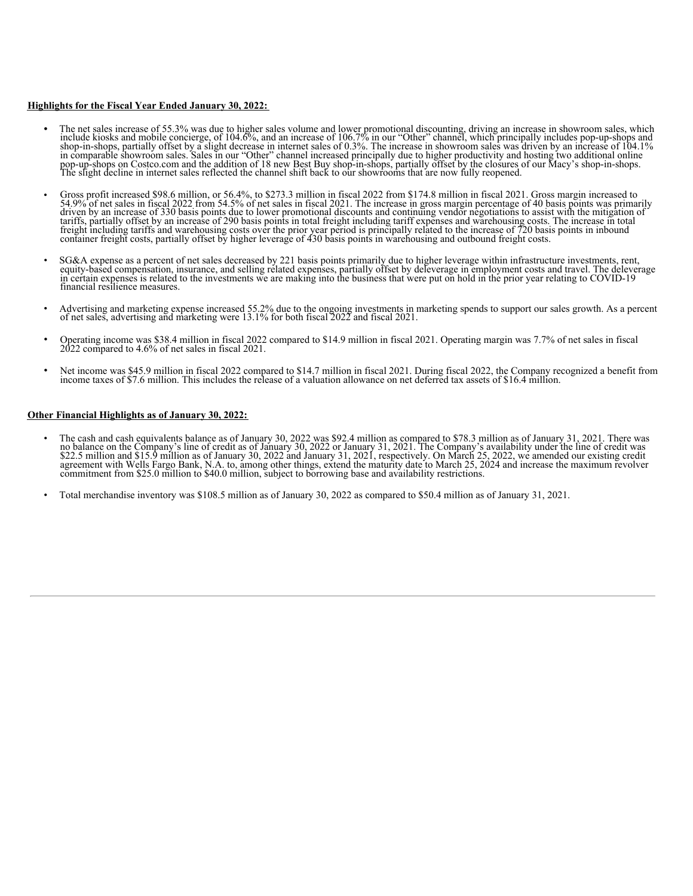### **Highlights for the Fiscal Year Ended January 30, 2022:**

- The net sales increase of 55.3% was due to higher sales volume and lower promotional discounting, driving an increase in showroom sales, which include kiosks and mobile concierge, of 104.6%, and an increase of 106.7% in
- Gross profit increased \$98.6 million, or 56.4%, to \$273.3 million in fiscal 2022 from \$174.8 million in fiscal 2021. Gross margin increased to 54.9% of net sales in fiscal 2022 from 54.5% of net sales in fiscal 2021. The
- SG&A expense as a percent of net sales decreased by 221 basis points primarily due to higher leverage within infrastructure investments, rent, equity-based compensation, insurance, and selling related expenses, partially financial resilience measures.
- Advertising and marketing expense increased 55.2% due to the ongoing investments in marketing spends to support our sales growth. As a percent of net sales, advertising and marketing were 13.1% for both fiscal 2022 and f
- Operating income was \$38.4 million in fiscal 2022 compared to \$14.9 million in fiscal 2021. Operating margin was 7.7% of net sales in fiscal 2022 compared to 4.6% of net sales in fiscal 2021.
- Net income was \$45.9 million in fiscal 2022 compared to \$14.7 million in fiscal 2021. During fiscal 2022, the Company recognized a benefit from income taxes of \$7.6 million. This includes the release of a valuation allowance on net deferred tax assets of \$16.4 million.

### **Other Financial Highlights as of January 30, 2022:**

- The cash and cash equivalents balance as of January 30, 2022 was \$92.4 million as compared to \$78.3 million as of January 31, 2021. There was no balance on the Company's line of credit as of January 30, 2022 or January 31, agreement with Wells Fargo Bank, N.A. to, among other things, extend the maturity date to March 25, 2024 and increase the maximum revolver commitment from \$25.0 million to \$40.0 million, subject to borrowing base and avail
- Total merchandise inventory was \$108.5 million as of January 30, 2022 as compared to \$50.4 million as of January 31, 2021.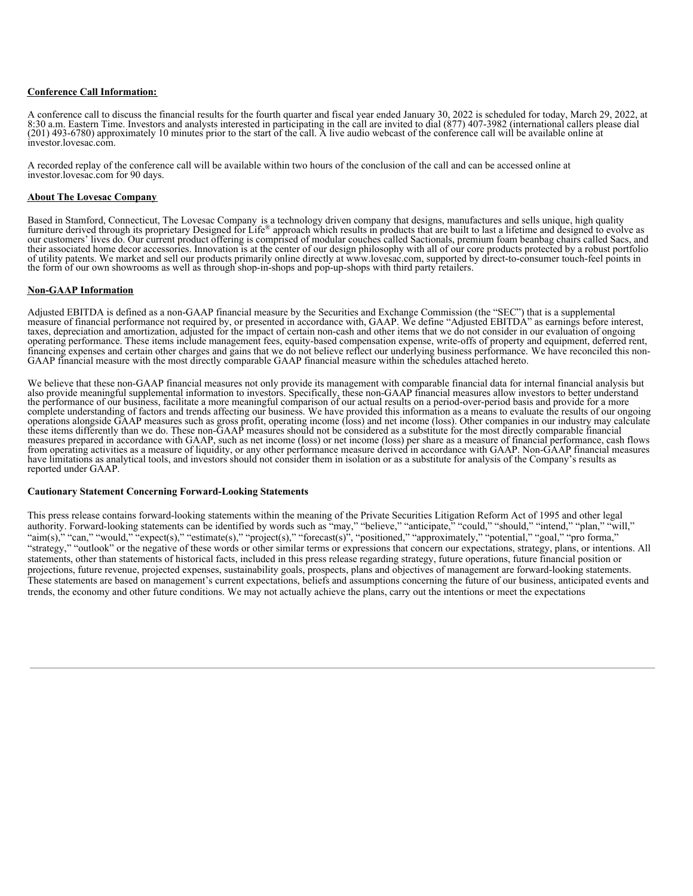### **Conference Call Information:**

A conference call to discuss the financial results for the fourth quarter and fiscal year ended January 30, 2022 is scheduled for today, March 29, 2022, at 8:30 a.m. Eastern Time. Investors and analysts interested in participating in the call are invited to dial (877) 407-3982 (international callers please dial (201) 493-6780) approximately 10 minutes prior to the start of the call. A live audio webcast of the conference call will be available online at investor.lovesac.com.

A recorded replay of the conference call will be available within two hours of the conclusion of the call and can be accessed online at investor.lovesac.com for 90 days.

### **About The Lovesac Company**

Based in Stamford, Connecticut, The Lovesac Company is a technology driven company that designs, manufactures and sells unique, high quality furniture derived through its proprietary Designed for Life® approach which results in products that are built to last a lifetime and designed to evolve as our customers' lives do. Our current product offering is comprised of modular couches called Sactionals, premium foam beanbag chairs called Sacs, and their associated home decor accessories. Innovation is at the center of our design philosophy with all of our core products protected by a robust portfolio of utility patents. We market and sell our products primarily online directly at www.lovesac.com, supported by direct-to-consumer touch-feel points in the form of our own showrooms as well as through shop-in-shops and pop-up-shops with third party retailers.

### **Non-GAAP Information**

Adjusted EBITDA is defined as a non-GAAP financial measure by the Securities and Exchange Commission (the "SEC") that is a supplemental measure of financial performance not required by, or presented in accordance with, GAA taxes, depreciation and amortization, adjusted for the impact of certain non-cash and other items that we do not consider in our evaluation of ongoing operating performance. These items include management fees, equity-based compensation expense, write-offs of property and equipment, deferred rent, financing expenses and certain other charges and gains that we do not believe reflect our underlying business performance. We have reconciled this non-GAAP financial measure with the most directly comparable GAAP financial measure within the schedules attached hereto.

We believe that these non-GAAP financial measures not only provide its management with comparable financial data for internal financial analysis but also provide meaningful supplemental information to investors. Specifically, these non-GAAP financial measures allow investors to better understand the performance of our business, facilitate a more meaningful comparison of our actual results on a period-over-period basis and provide for a more complete understanding of factors and trends affecting our business. We have provided this information as a means to evaluate the results of our ongoing operations alongside GAAP measures such as gross profit, operating income (loss) and net income (loss). Other companies in our industry may calculate these items differently than we do. These non-GAAP measures should not be considered as a substitute for the most directly comparable financial<br>measures prepared in accordance with GAAP, such as net income (loss) or net in from operating activities as a measure of liquidity, or any other performance measure derived in accordance with GAAP. Non-GAAP financial measures have limitations as analytical tools, and investors should not consider them in isolation or as a substitute for analysis of the Company's results as reported under GAAP.

#### **Cautionary Statement Concerning Forward-Looking Statements**

This press release contains forward-looking statements within the meaning of the Private Securities Litigation Reform Act of 1995 and other legal authority. Forward-looking statements can be identified by words such as "may," "believe," "anticipate," "could," "should," "intend," "plan," "will," "aim(s)," "can," "would," "expect(s)," "estimate(s)," "project(s)," "forecast(s)", "positioned," "approximately," "potential," "goal," "pro forma," "strategy," "outlook" or the negative of these words or other similar terms or expressions that concern our expectations, strategy, plans, or intentions. All statements, other than statements of historical facts, included in this press release regarding strategy, future operations, future financial position or projections, future revenue, projected expenses, sustainability goals, prospects, plans and objectives of management are forward-looking statements. These statements are based on management's current expectations, beliefs and assumptions concerning the future of our business, anticipated events and trends, the economy and other future conditions. We may not actually achieve the plans, carry out the intentions or meet the expectations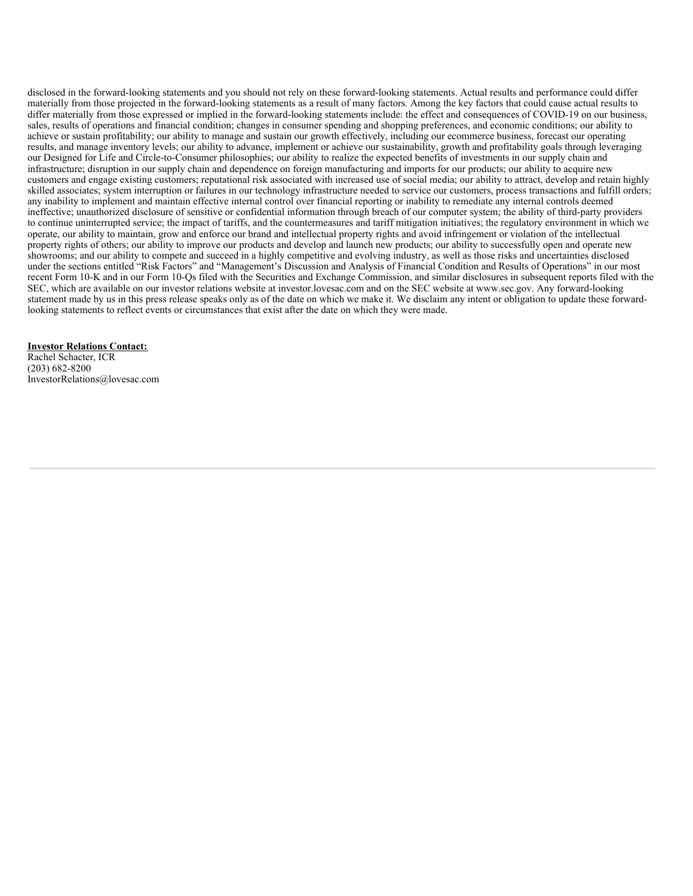<span id="page-6-0"></span>disclosed in the forward-looking statements and you should not rely on these forward-looking statements. Actual results and performance could differ materially from those projected in the forward-looking statements as a result of many factors. Among the key factors that could cause actual results to differ materially from those expressed or implied in the forward-looking statements include: the effect and consequences of COVID-19 on our business, sales, results of operations and financial condition; changes in consumer spending and shopping preferences, and economic conditions; our ability to achieve or sustain profitability; our ability to manage and sustain our growth effectively, including our ecommerce business, forecast our operating results, and manage inventory levels; our ability to advance, implement or achieve our sustainability, growth and profitability goals through leveraging our Designed for Life and Circle-to-Consumer philosophies; our ability to realize the expected benefits of investments in our supply chain and infrastructure; disruption in our supply chain and dependence on foreign manufacturing and imports for our products; our ability to acquire new customers and engage existing customers; reputational risk associated with increased use of social media; our ability to attract, develop and retain highly skilled associates; system interruption or failures in our technology infrastructure needed to service our customers, process transactions and fulfill orders; any inability to implement and maintain effective internal control over financial reporting or inability to remediate any internal controls deemed ineffective; unauthorized disclosure of sensitive or confidential information through breach of our computer system; the ability of third-party providers to continue uninterrupted service; the impact of tariffs, and the countermeasures and tariff mitigation initiatives; the regulatory environment in which we operate, our ability to maintain, grow and enforce our brand and intellectual property rights and avoid infringement or violation of the intellectual property rights of others; our ability to improve our products and develop and launch new products; our ability to successfully open and operate new showrooms; and our ability to compete and succeed in a highly competitive and evolving industry, as well as those risks and uncertainties disclosed under the sections entitled "Risk Factors" and "Management's Discussion and Analysis of Financial Condition and Results of Operations" in our most recent Form 10-K and in our Form 10-Qs filed with the Securities and Exchange Commission, and similar disclosures in subsequent reports filed with the SEC, which are available on our investor relations website at investor.lovesac.com and on the SEC website at www.sec.gov. Any forward-looking statement made by us in this press release speaks only as of the date on which we make it. We disclaim any intent or obligation to update these forwardlooking statements to reflect events or circumstances that exist after the date on which they were made.

### **Investor Relations Contact:**

Rachel Schacter, ICR (203) 682-8200 InvestorRelations@lovesac.com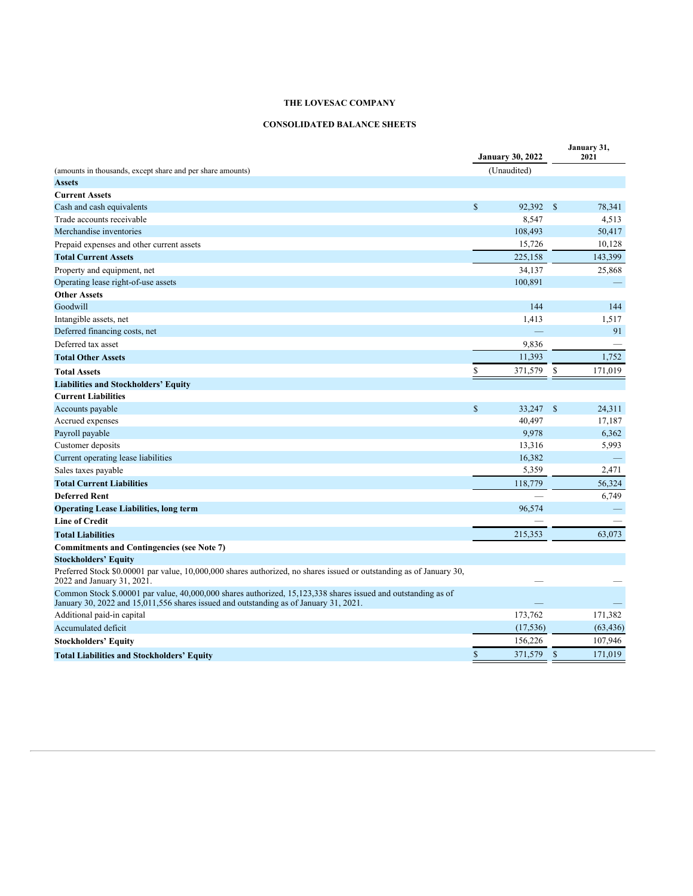# **CONSOLIDATED BALANCE SHEETS**

|                                                                                                                                                                                                        | <b>January 30, 2022</b> |             |              | January 31,<br>2021 |  |
|--------------------------------------------------------------------------------------------------------------------------------------------------------------------------------------------------------|-------------------------|-------------|--------------|---------------------|--|
| (amounts in thousands, except share and per share amounts)                                                                                                                                             |                         | (Unaudited) |              |                     |  |
| <b>Assets</b>                                                                                                                                                                                          |                         |             |              |                     |  |
| <b>Current Assets</b>                                                                                                                                                                                  |                         |             |              |                     |  |
| Cash and cash equivalents                                                                                                                                                                              | $\mathbb{S}$            | 92,392      | $\mathbb{S}$ | 78,341              |  |
| Trade accounts receivable                                                                                                                                                                              |                         | 8,547       |              | 4,513               |  |
| Merchandise inventories                                                                                                                                                                                |                         | 108,493     |              | 50,417              |  |
| Prepaid expenses and other current assets                                                                                                                                                              |                         | 15,726      |              | 10,128              |  |
| <b>Total Current Assets</b>                                                                                                                                                                            |                         | 225.158     |              | 143,399             |  |
| Property and equipment, net                                                                                                                                                                            |                         | 34,137      |              | 25,868              |  |
| Operating lease right-of-use assets                                                                                                                                                                    |                         | 100,891     |              |                     |  |
| <b>Other Assets</b>                                                                                                                                                                                    |                         |             |              |                     |  |
| Goodwill                                                                                                                                                                                               |                         | 144         |              | 144                 |  |
| Intangible assets, net                                                                                                                                                                                 |                         | 1,413       |              | 1,517               |  |
| Deferred financing costs, net                                                                                                                                                                          |                         |             |              | 91                  |  |
| Deferred tax asset                                                                                                                                                                                     |                         | 9,836       |              |                     |  |
| <b>Total Other Assets</b>                                                                                                                                                                              |                         | 11,393      |              | 1,752               |  |
| <b>Total Assets</b>                                                                                                                                                                                    | \$                      | 371,579     | \$           | 171,019             |  |
| <b>Liabilities and Stockholders' Equity</b>                                                                                                                                                            |                         |             |              |                     |  |
| <b>Current Liabilities</b>                                                                                                                                                                             |                         |             |              |                     |  |
| Accounts payable                                                                                                                                                                                       | $\mathbb{S}$            | 33,247      | $\mathbb{S}$ | 24,311              |  |
| Accrued expenses                                                                                                                                                                                       |                         | 40,497      |              | 17,187              |  |
| Payroll payable                                                                                                                                                                                        |                         | 9,978       |              | 6,362               |  |
| Customer deposits                                                                                                                                                                                      |                         | 13,316      |              | 5,993               |  |
| Current operating lease liabilities                                                                                                                                                                    |                         | 16,382      |              |                     |  |
| Sales taxes payable                                                                                                                                                                                    |                         | 5,359       |              | 2,471               |  |
| <b>Total Current Liabilities</b>                                                                                                                                                                       |                         | 118,779     |              | 56,324              |  |
| <b>Deferred Rent</b>                                                                                                                                                                                   |                         |             |              | 6,749               |  |
| <b>Operating Lease Liabilities, long term</b>                                                                                                                                                          |                         | 96,574      |              |                     |  |
| <b>Line of Credit</b>                                                                                                                                                                                  |                         |             |              |                     |  |
| <b>Total Liabilities</b>                                                                                                                                                                               |                         | 215,353     |              | 63,073              |  |
| <b>Commitments and Contingencies (see Note 7)</b>                                                                                                                                                      |                         |             |              |                     |  |
| <b>Stockholders' Equity</b>                                                                                                                                                                            |                         |             |              |                     |  |
| Preferred Stock \$0.00001 par value, 10,000,000 shares authorized, no shares issued or outstanding as of January 30,<br>2022 and January 31, 2021.                                                     |                         |             |              |                     |  |
| Common Stock \$.00001 par value, 40,000,000 shares authorized, 15,123,338 shares issued and outstanding as of<br>January 30, 2022 and 15,011,556 shares issued and outstanding as of January 31, 2021. |                         |             |              |                     |  |
| Additional paid-in capital                                                                                                                                                                             |                         | 173,762     |              | 171,382             |  |
| Accumulated deficit                                                                                                                                                                                    |                         | (17, 536)   |              | (63, 436)           |  |
| <b>Stockholders' Equity</b>                                                                                                                                                                            |                         | 156,226     |              | 107,946             |  |
| <b>Total Liabilities and Stockholders' Equity</b>                                                                                                                                                      | $\mathbb{S}$            | 371,579     | $\mathbb{S}$ | 171,019             |  |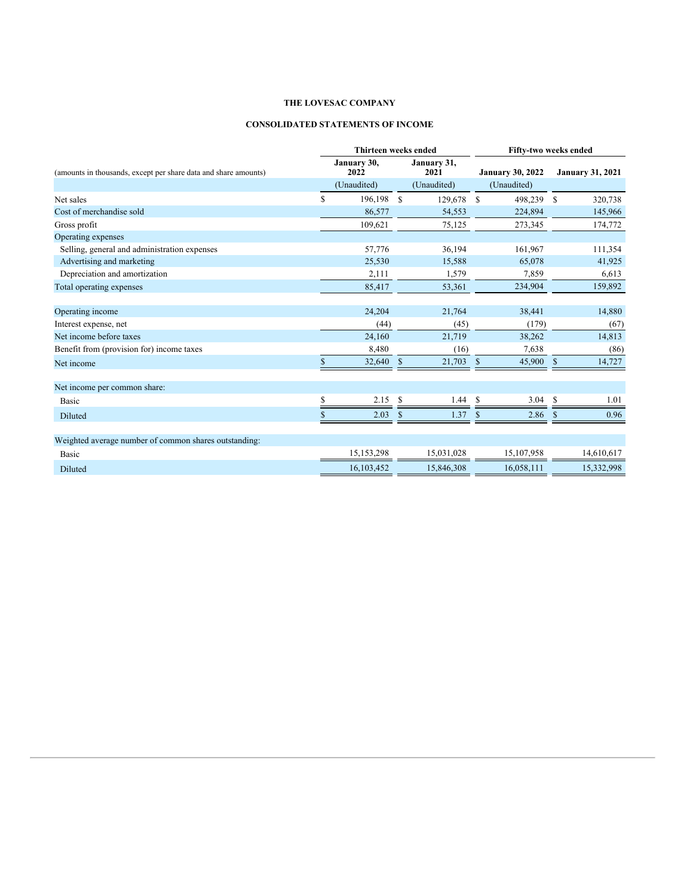# **CONSOLIDATED STATEMENTS OF INCOME**

|                                                                 | <b>Thirteen weeks ended</b> |                     |               |                     | Fifty-two weeks ended |                         |              |                         |  |
|-----------------------------------------------------------------|-----------------------------|---------------------|---------------|---------------------|-----------------------|-------------------------|--------------|-------------------------|--|
| (amounts in thousands, except per share data and share amounts) |                             | January 30,<br>2022 |               | January 31,<br>2021 |                       | <b>January 30, 2022</b> |              | <b>January 31, 2021</b> |  |
|                                                                 |                             | (Unaudited)         |               | (Unaudited)         |                       | (Unaudited)             |              |                         |  |
| Net sales                                                       | S                           | 196,198             | <sup>\$</sup> | 129,678             | \$                    | 498,239                 | S            | 320,738                 |  |
| Cost of merchandise sold                                        |                             | 86,577              |               | 54,553              |                       | 224,894                 |              | 145,966                 |  |
| Gross profit                                                    |                             | 109,621             |               | 75,125              |                       | 273,345                 |              | 174,772                 |  |
| Operating expenses                                              |                             |                     |               |                     |                       |                         |              |                         |  |
| Selling, general and administration expenses                    |                             | 57,776              |               | 36,194              |                       | 161,967                 |              | 111,354                 |  |
| Advertising and marketing                                       |                             | 25,530              |               | 15,588              |                       | 65,078                  |              | 41,925                  |  |
| Depreciation and amortization                                   |                             | 2,111               |               | 1,579               |                       | 7,859                   |              | 6,613                   |  |
| Total operating expenses                                        |                             | 85,417              |               | 53,361              |                       | 234,904                 |              | 159,892                 |  |
| Operating income                                                |                             | 24,204              |               | 21,764              |                       | 38,441                  |              | 14,880                  |  |
| Interest expense, net                                           |                             | (44)                |               | (45)                |                       | (179)                   |              | (67)                    |  |
| Net income before taxes                                         |                             | 24,160              |               | 21,719              |                       | 38,262                  |              | 14,813                  |  |
| Benefit from (provision for) income taxes                       |                             | 8,480               |               | (16)                |                       | 7,638                   |              | (86)                    |  |
| Net income                                                      |                             | 32,640              | $\mathbb{S}$  | 21,703              | $\mathbb{S}$          | 45,900                  | $\mathbb{S}$ | 14,727                  |  |
| Net income per common share:                                    |                             |                     |               |                     |                       |                         |              |                         |  |
| Basic                                                           | S                           | 2.15                | - \$          | 1.44                | <b>S</b>              | 3.04                    | <b>S</b>     | 1.01                    |  |
| Diluted                                                         |                             | 2.03                |               | 1.37                |                       | 2.86                    |              | 0.96                    |  |
| Weighted average number of common shares outstanding:           |                             |                     |               |                     |                       |                         |              |                         |  |
| Basic                                                           |                             | 15,153,298          |               | 15,031,028          |                       | 15,107,958              |              | 14,610,617              |  |
| Diluted                                                         |                             | 16,103,452          |               | 15,846,308          |                       | 16,058,111              |              | 15,332,998              |  |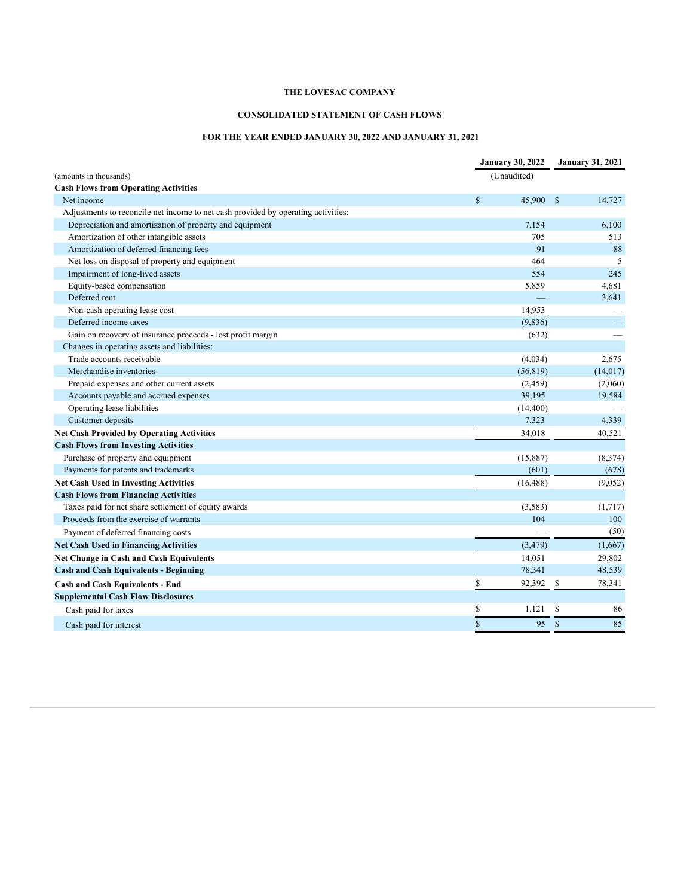# **CONSOLIDATED STATEMENT OF CASH FLOWS**

# **FOR THE YEAR ENDED JANUARY 30, 2022 AND JANUARY 31, 2021**

|                                                                                   | <b>January 30, 2022</b> |           | <b>January 31, 2021</b> |           |
|-----------------------------------------------------------------------------------|-------------------------|-----------|-------------------------|-----------|
| (amounts in thousands)                                                            | (Unaudited)             |           |                         |           |
| <b>Cash Flows from Operating Activities</b>                                       |                         |           |                         |           |
| Net income                                                                        | $\mathbb{S}$            | 45,900    | - S                     | 14,727    |
| Adjustments to reconcile net income to net cash provided by operating activities: |                         |           |                         |           |
| Depreciation and amortization of property and equipment                           |                         | 7,154     |                         | 6,100     |
| Amortization of other intangible assets                                           |                         | 705       |                         | 513       |
| Amortization of deferred financing fees                                           |                         | 91        |                         | 88        |
| Net loss on disposal of property and equipment                                    |                         | 464       |                         | 5         |
| Impairment of long-lived assets                                                   |                         | 554       |                         | 245       |
| Equity-based compensation                                                         |                         | 5,859     |                         | 4,681     |
| Deferred rent                                                                     |                         |           |                         | 3,641     |
| Non-cash operating lease cost                                                     |                         | 14,953    |                         |           |
| Deferred income taxes                                                             |                         | (9,836)   |                         |           |
| Gain on recovery of insurance proceeds - lost profit margin                       |                         | (632)     |                         |           |
| Changes in operating assets and liabilities:                                      |                         |           |                         |           |
| Trade accounts receivable                                                         |                         | (4,034)   |                         | 2,675     |
| Merchandise inventories                                                           |                         | (56, 819) |                         | (14, 017) |
| Prepaid expenses and other current assets                                         |                         | (2, 459)  |                         | (2,060)   |
| Accounts payable and accrued expenses                                             |                         | 39,195    |                         | 19,584    |
| Operating lease liabilities                                                       |                         | (14, 400) |                         |           |
| Customer deposits                                                                 |                         | 7,323     |                         | 4,339     |
| Net Cash Provided by Operating Activities                                         |                         | 34,018    |                         | 40,521    |
| <b>Cash Flows from Investing Activities</b>                                       |                         |           |                         |           |
| Purchase of property and equipment                                                |                         | (15, 887) |                         | (8,374)   |
| Payments for patents and trademarks                                               |                         | (601)     |                         | (678)     |
| <b>Net Cash Used in Investing Activities</b>                                      |                         | (16, 488) |                         | (9,052)   |
| <b>Cash Flows from Financing Activities</b>                                       |                         |           |                         |           |
| Taxes paid for net share settlement of equity awards                              |                         | (3, 583)  |                         | (1,717)   |
| Proceeds from the exercise of warrants                                            |                         | 104       |                         | 100       |
| Payment of deferred financing costs                                               |                         |           |                         | (50)      |
| <b>Net Cash Used in Financing Activities</b>                                      |                         | (3, 479)  |                         | (1,667)   |
| Net Change in Cash and Cash Equivalents                                           |                         | 14,051    |                         | 29,802    |
| <b>Cash and Cash Equivalents - Beginning</b>                                      |                         | 78,341    |                         | 48,539    |
| <b>Cash and Cash Equivalents - End</b>                                            | \$                      | 92,392    | \$                      | 78,341    |
| <b>Supplemental Cash Flow Disclosures</b>                                         |                         |           |                         |           |
| Cash paid for taxes                                                               | \$                      | 1,121     | S                       | 86        |
| Cash paid for interest                                                            | $\mathcal{S}$           | 95        | <sup>S</sup>            | 85        |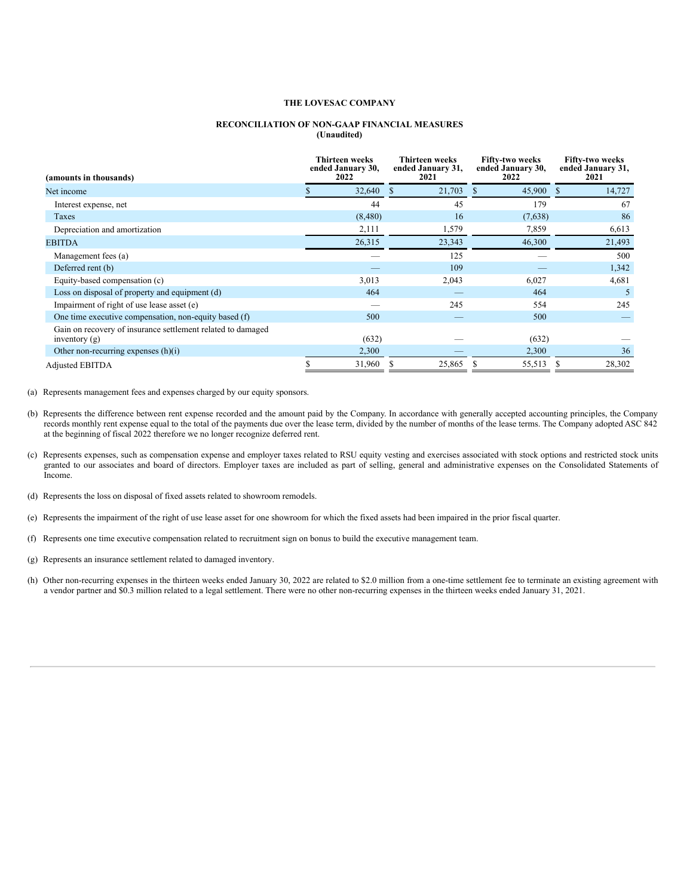#### **RECONCILIATION OF NON-GAAP FINANCIAL MEASURES (Unaudited)**

| (amounts in thousands)                                                         | <b>Thirteen weeks</b><br><b>Thirteen weeks</b><br>ended January 30,<br>ended January 31,<br>2022<br>2021 |              | <b>Fifty-two weeks</b><br>ended January 30,<br>2022 | <b>Fifty-two weeks</b><br>ended January 31,<br>2021 |  |
|--------------------------------------------------------------------------------|----------------------------------------------------------------------------------------------------------|--------------|-----------------------------------------------------|-----------------------------------------------------|--|
| Net income                                                                     | 32,640                                                                                                   | 21,703<br>-S | 45,900                                              | 14,727<br>-S                                        |  |
| Interest expense, net                                                          | 44                                                                                                       | 45           | 179                                                 | 67                                                  |  |
| Taxes                                                                          | (8,480)                                                                                                  | 16           | (7,638)                                             | 86                                                  |  |
| Depreciation and amortization                                                  | 2,111                                                                                                    | 1,579        | 7,859                                               | 6,613                                               |  |
| <b>EBITDA</b>                                                                  | 26,315                                                                                                   | 23,343       | 46,300                                              | 21,493                                              |  |
| Management fees (a)                                                            |                                                                                                          | 125          |                                                     | 500                                                 |  |
| Deferred rent (b)                                                              |                                                                                                          | 109          |                                                     | 1,342                                               |  |
| Equity-based compensation (c)                                                  | 3,013                                                                                                    | 2,043        | 6,027                                               | 4,681                                               |  |
| Loss on disposal of property and equipment (d)                                 | 464                                                                                                      | _            | 464                                                 | 5                                                   |  |
| Impairment of right of use lease asset (e)                                     |                                                                                                          | 245          | 554                                                 | 245                                                 |  |
| One time executive compensation, non-equity based (f)                          | 500                                                                                                      |              | 500                                                 |                                                     |  |
| Gain on recovery of insurance settlement related to damaged<br>inventory $(g)$ | (632)                                                                                                    |              | (632)                                               |                                                     |  |
| Other non-recurring expenses (h)(i)                                            | 2,300                                                                                                    |              | 2,300                                               | 36                                                  |  |
| <b>Adjusted EBITDA</b>                                                         | 31,960                                                                                                   | 25,865       | 55,513                                              | 28,302                                              |  |

(a) Represents management fees and expenses charged by our equity sponsors.

- (b) Represents the difference between rent expense recorded and the amount paid by the Company. In accordance with generally accepted accounting principles, the Company records monthly rent expense equal to the total of the payments due over the lease term, divided by the number of months of the lease terms. The Company adopted ASC 842 at the beginning of fiscal 2022 therefore we no longer recognize deferred rent.
- (c) Represents expenses, such as compensation expense and employer taxes related to RSU equity vesting and exercises associated with stock options and restricted stock units granted to our associates and board of directors. Employer taxes are included as part of selling, general and administrative expenses on the Consolidated Statements of Income.
- (d) Represents the loss on disposal of fixed assets related to showroom remodels.
- (e) Represents the impairment of the right of use lease asset for one showroom for which the fixed assets had been impaired in the prior fiscal quarter.
- (f) Represents one time executive compensation related to recruitment sign on bonus to build the executive management team.
- (g) Represents an insurance settlement related to damaged inventory.
- (h) Other non-recurring expenses in the thirteen weeks ended January 30, 2022 are related to \$2.0 million from a one-time settlement fee to terminate an existing agreement with a vendor partner and \$0.3 million related to a legal settlement. There were no other non-recurring expenses in the thirteen weeks ended January 31, 2021.